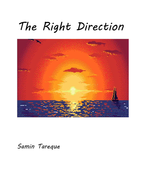# *The Right Direction*



*Samin Tareque*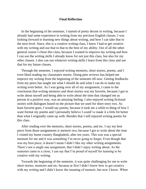## **Final Reflection**

In the beginning of the semester, I started of pretty decent in writing, because I already had some experience in writing from my previous English classes. I was looking forward to learning new things about writing, and how I can take that to the next level. Since, this is a creative writing class, I knew I had to get creative with my writing and use that to that to the best of my ability. Out of all the other general course I chose this class, because I wanted to improve my writing and how I can use the writing skills I already know for not just this class, but also for my other classes. I also can use whatever writing skills I learn from this class and use that for my future classes.

 Through the semester, I enjoyed writing memoirs, short stories, poems, and I even liked reading my classmates stories. Doing peer reviews has helped me improve my writing from the beginning of the semester till now. Getting feedbacks from my peers has taught me what I should do and what I can do to make my writing even better. As I was going over all of my assignment, I came to the conclusion that writing memoirs and short stories was my favorite, because I got to write about myself and being able to write about the time that changed me as person in a positive way, was an amazing feeling. I also enjoyed writing fictional stories with dialogues based on the picture that we used for short story two. As least favorite goes, I would say poems, because it took me a while to thing of how I want format my poems and I personally believe I could've made it a little bit better than what I originally came up with. Besides that I still enjoyed writing poems for this class.

 After reading over the memoirs, short stories, poems, and etc. I say my best piece from those assignments is memoir two, because I got to write about the time I visited my home country Bangladesh, after ten years. This was was a special moment for me and it was something I'm never going to forget. Even though that was my best piece, it doesn't mean I didn't like my other writing assignments. There's not a single one assignment, that I didn't enjoy writing about. As the semester came to a close, I can say that I'm proud of myself for learning to be creative with my writing.

 Towards the beginning of the semester, it was quite challenging for me to write short stories, memoirs and etc, because at first I didn't know how to get creative with my writing and I didn't know the meaning of memoir, but now I know. When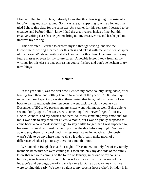I first enrolled for this class, I already knew that this class is going to consist of a lot of writing and also reading. So, I was already expecting to write a lot and I'm glad I chose this class for the semester. As a writer for this semester, I learned to be creative, and before I didn't know I had the creativeness inside of me, but this creative writing class has helped me bring out my creativeness and has helped me improve my writing.

 This semester, I learned to express myself through writing, and use the knowledge of writing I learned for this class and take it with me to the next chapter of my career. Whatever writing skills I learned for this class, I can use that for my future classes or even for my future career. A notable lesson I took from all my writings for this class is that expressing yourself is key and don't be hesitant to try new things.

### **Memoir**

 In the year 2012, was the first time I visited my home country Bangladesh, after leaving from there and settling here in New York at the year of 2008. I don't quite remember how I spent my vacation there during that time, but just recently I went back to visit Bangladesh after ten years. I went back to visit my country on December of 2021. My parents and my sister went with me as well. Being able to see my family again after ten years is something I will never forget. All of my Uncles, Aunties, and my cousins are there, so it was something very emotional for me. I was able to stay there for at least a month, but I was originally supposed to come back to New York sooner. I got to stay a little longer than I was supposed to, because my covid test result came in positive the day before my flight. So I was able to stay there for a week until my test result came in negative. I obviously wasn't able to go anywhere that week, so it didn't really make much of a difference whether I got to stay there for a month or not.

 We landed in Bangladesh at 31st night of December, but only few of my family members knew that we were coming this soon and only my dad side of the family knew that we were coming on the fourth of January, since one of my cousins birthday is in January 1st, so our plan was to surprise him. So after we got our luggage's and our bags, one of my uncle came to pick us up who knew that we were coming this early. We went straight to my cousins house who's birthday is in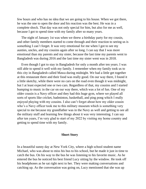few hours and who has no idea that we are going to his house. When we got there, he was the one to open the door and his reaction was the best. He was in a complete shock. That day was not only special for him, but also for me as well, because I got to spend time with my family after so many years.

 The night of January 1st was when we threw a birthday party for my cousin, and other family members started to come through and their reaction to seeing us is something I can't forget. It was very emotional for me when I got to see my aunties, uncles, and my cousins again after so long. I can say that I was more emotional than my parents and my sister, because the last time my parents went to Bangladesh was during 2016 and the last time my sister went was in 2018.

 Even though I got to stay in Bangladesh for only a month after ten years. I was still able to spend it well with my family. I remember when my family took us to this city in Bangladesh called Mawa during midnight. We had a little get together at this restaurant there and their food was really good. On our way there, I found it a little sketchy, while there were no cars on the road even though it was midnight, but I at least expected one or two cars. Regardless of that, my cousins and I started bumping to music in the car on our way there, which was a lot of fun. One of my older cousin is a Navy officer and they had this huge gym, where we played all sorts of sports like cricket, badminton, basketball, and ping pong which I really enjoyed playing with my cousins. I also can't forget about how my older cousin who's a Navy officer took me to this military museum which is something very special to me because my grandfather was in the Navy as well and getting to see all the military stuff and learning few things about it was very interesting. I can say after ten years, I'm very glad to start of my 2022 by visiting my home country and getting to spend time with my family.

# **Short Story**

In a beautiful sunny day at New York City, where a high school student name Michael, who was about to miss his bus to his school, but he made it just in time to catch the bus. On his way to the bus he was listening to his favorite music. As he entered the bus he noticed his best friend Lucy sitting by the window. He took off his headphones as he sat right next to her. They were making conversations and catching up. As the conversation was going on, Lucy mentioned that she was up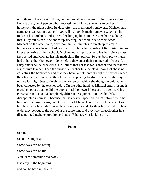until three in the morning doing her homework assignment for her science class. Lucy is the type of person who procrastinates a lot so she tends to do her homework the night before its due. After she mentioned homework, Michael then came to a realization that he forgot to finish up his math homework, so then he took out his notebook and started finishing up his homework. As he was doing that, Lucy fell asleep. She ended up sleeping the whole ride to their school. Michael on the other hand, only took him ten minutes to finish up his math homework where he only had few math problems left to solve. After thirty minutes later they arrive at their school. Michael wakes up Lucy who has her science class first period and Michael has his math class first period. So they both pretty much had to have their homework done before they enter their first period of class. As Lucy enters her science class, she notices that her teacher is absent and that there's a substitute teacher. Then the substitute teacher lets the class know that she is not collecting the homework and that they have to hold onto it until the next day when their teacher is present. So then Lucy ends up being frustrated because she stayed up late last night just to finish up the homework which she thought would have been collected by the teacher today. On the other hand, as Michael enters his math class he notices that he did the wrong math homework because he overheard his classmates talk about a completely different assignment. So then he feels disappointed in himself, because that has never happened to him before where he has done the wrong assignment. The rest of Michael and Lucy's classes went well, but their first class didn't go as they thought it would. As their last period of class ends, they get out of the school at the same time and they look at each other in a disappointed facial expression and says "What are you looking at?".

### **Poem**

## **School**

School is important Some days can be boring Some days can be fun You learn something everyday It is easy in the beginning and can be hard in the end